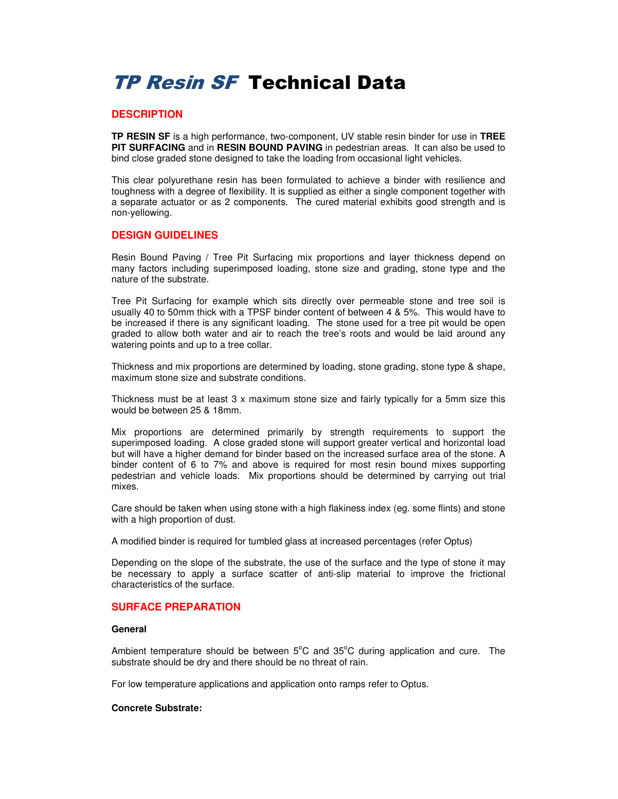# TP Resin SF Technical Data

## **DESCRIPTION**

**TP RESIN SF** is a high performance, two-component, UV stable resin binder for use in **TREE PIT SURFACING** and in **RESIN BOUND PAVING** in pedestrian areas. It can also be used to bind close graded stone designed to take the loading from occasional light vehicles.

This clear polyurethane resin has been formulated to achieve a binder with resilience and toughness with a degree of flexibility. It is supplied as either a single component together with a separate actuator or as 2 components. The cured material exhibits good strength and is non-yellowing.

## **DESIGN GUIDELINES**

Resin Bound Paving / Tree Pit Surfacing mix proportions and layer thickness depend on many factors including superimposed loading, stone size and grading, stone type and the nature of the substrate.

Tree Pit Surfacing for example which sits directly over permeable stone and tree soil is usually 40 to 50mm thick with a TPSF binder content of between 4 & 5%. This would have to be increased if there is any significant loading. The stone used for a tree pit would be open graded to allow both water and air to reach the tree's roots and would be laid around any watering points and up to a tree collar.

Thickness and mix proportions are determined by loading, stone grading, stone type & shape, maximum stone size and substrate conditions.

Thickness must be at least 3 x maximum stone size and fairly typically for a 5mm size this would be between 25 & 18mm.

Mix proportions are determined primarily by strength requirements to support the superimposed loading. A close graded stone will support greater vertical and horizontal load but will have a higher demand for binder based on the increased surface area of the stone. A binder content of 6 to 7% and above is required for most resin bound mixes supporting pedestrian and vehicle loads. Mix proportions should be determined by carrying out trial mixes.

Care should be taken when using stone with a high flakiness index (eg. some flints) and stone with a high proportion of dust.

A modified binder is required for tumbled glass at increased percentages (refer Optus)

Depending on the slope of the substrate, the use of the surface and the type of stone it may be necessary to apply a surface scatter of anti-slip material to improve the frictional characteristics of the surface.

## **SURFACE PREPARATION**

## **General**

Ambient temperature should be between  $5^{\circ}$ C and  $35^{\circ}$ C during application and cure. The substrate should be dry and there should be no threat of rain.

For low temperature applications and application onto ramps refer to Optus.

## **Concrete Substrate:**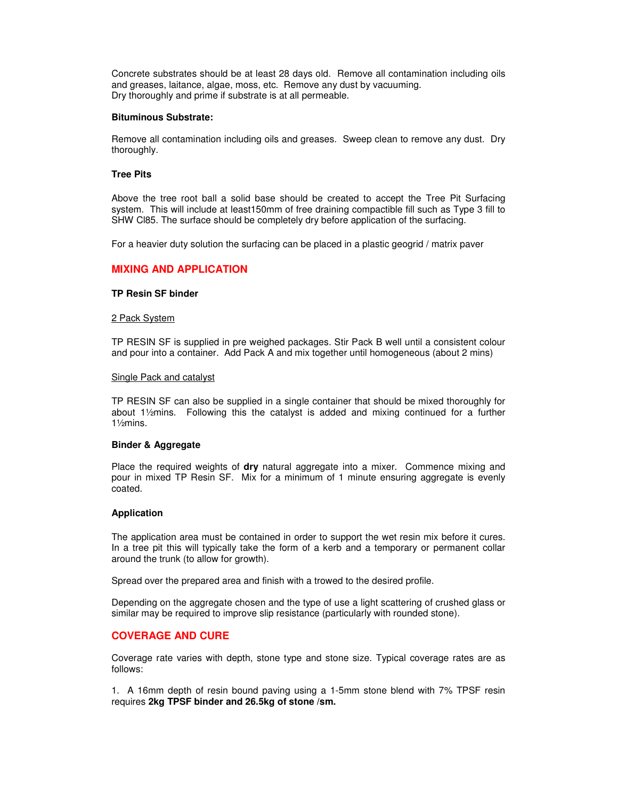Concrete substrates should be at least 28 days old. Remove all contamination including oils and greases, laitance, algae, moss, etc. Remove any dust by vacuuming. Dry thoroughly and prime if substrate is at all permeable.

#### **Bituminous Substrate:**

Remove all contamination including oils and greases. Sweep clean to remove any dust. Dry thoroughly.

#### **Tree Pits**

Above the tree root ball a solid base should be created to accept the Tree Pit Surfacing system. This will include at least150mm of free draining compactible fill such as Type 3 fill to SHW Cl85. The surface should be completely dry before application of the surfacing.

For a heavier duty solution the surfacing can be placed in a plastic geogrid / matrix paver

## **MIXING AND APPLICATION**

#### **TP Resin SF binder**

#### 2 Pack System

TP RESIN SF is supplied in pre weighed packages. Stir Pack B well until a consistent colour and pour into a container. Add Pack A and mix together until homogeneous (about 2 mins)

#### **Single Pack and catalyst**

TP RESIN SF can also be supplied in a single container that should be mixed thoroughly for about 1½mins. Following this the catalyst is added and mixing continued for a further 1½mins.

## **Binder & Aggregate**

Place the required weights of **dry** natural aggregate into a mixer. Commence mixing and pour in mixed TP Resin SF. Mix for a minimum of 1 minute ensuring aggregate is evenly coated.

#### **Application**

The application area must be contained in order to support the wet resin mix before it cures. In a tree pit this will typically take the form of a kerb and a temporary or permanent collar around the trunk (to allow for growth).

Spread over the prepared area and finish with a trowed to the desired profile.

Depending on the aggregate chosen and the type of use a light scattering of crushed glass or similar may be required to improve slip resistance (particularly with rounded stone).

## **COVERAGE AND CURE**

Coverage rate varies with depth, stone type and stone size. Typical coverage rates are as follows:

1. A 16mm depth of resin bound paving using a 1-5mm stone blend with 7% TPSF resin requires **2kg TPSF binder and 26.5kg of stone /sm.**